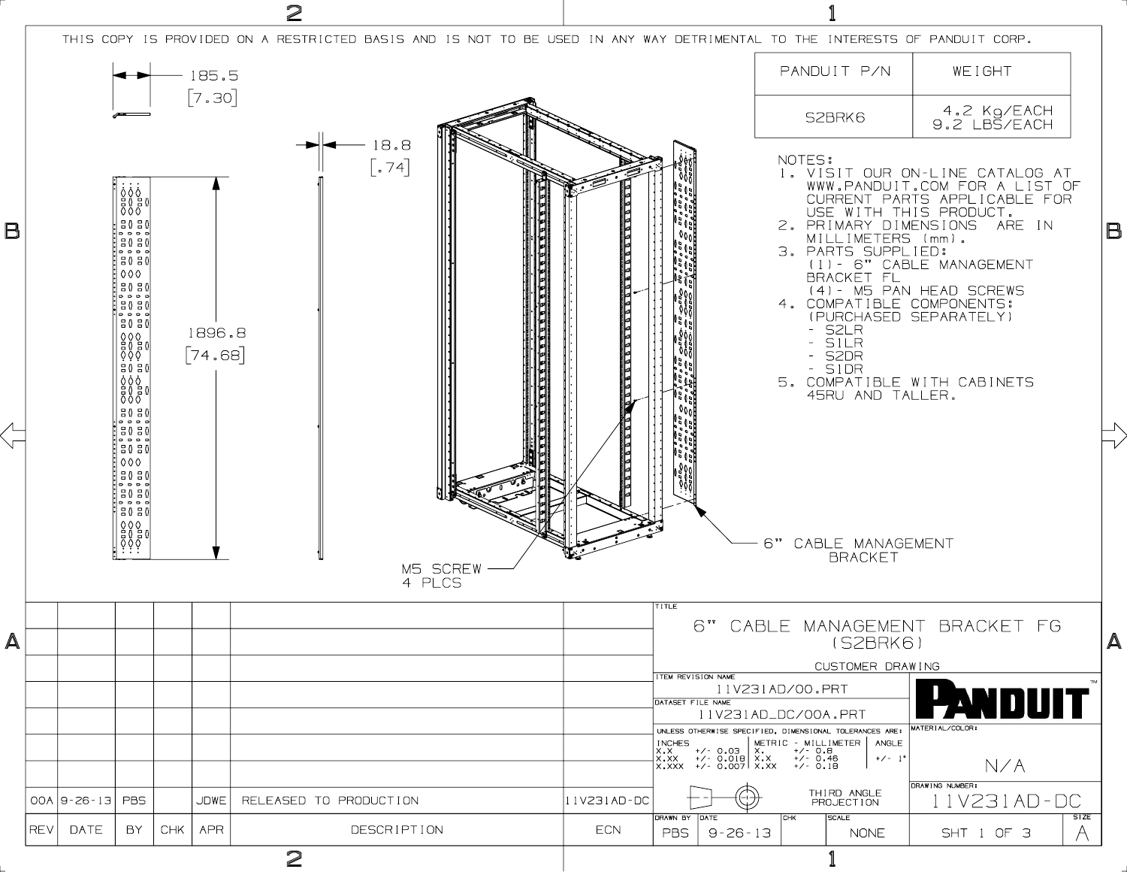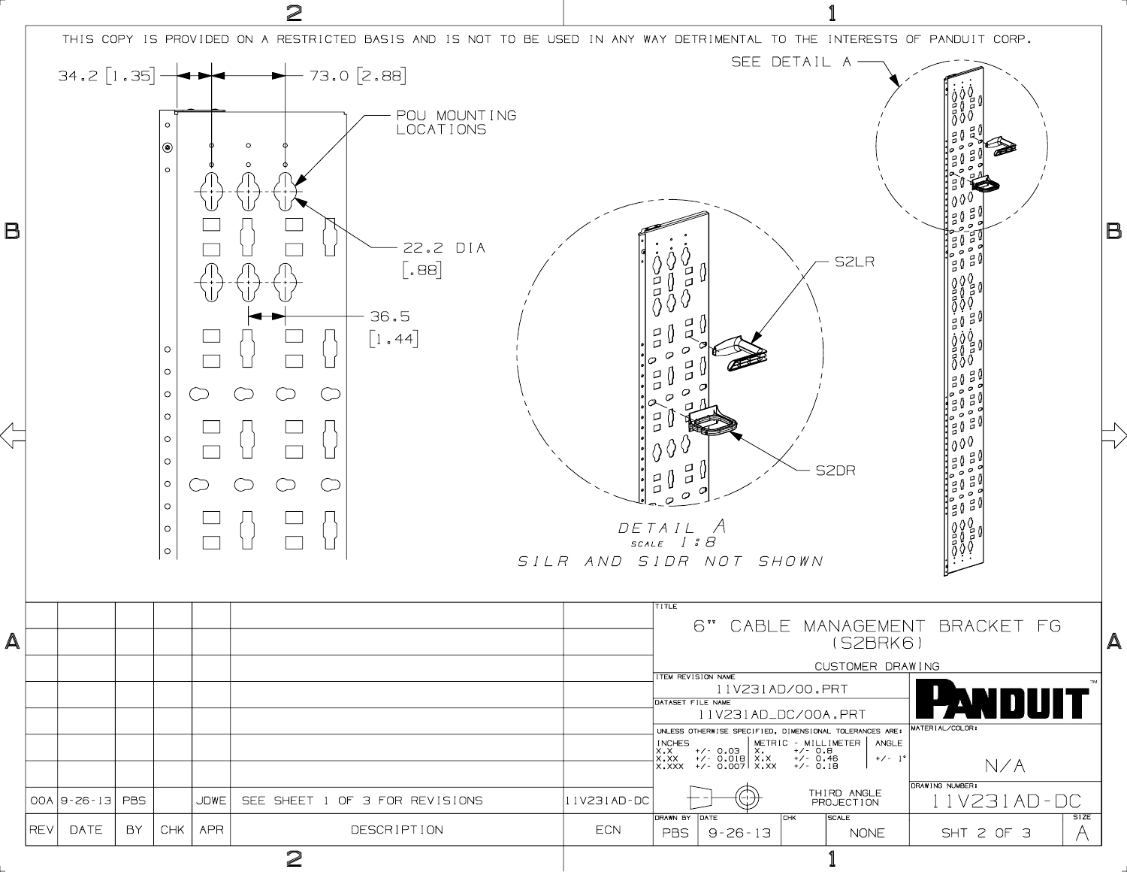